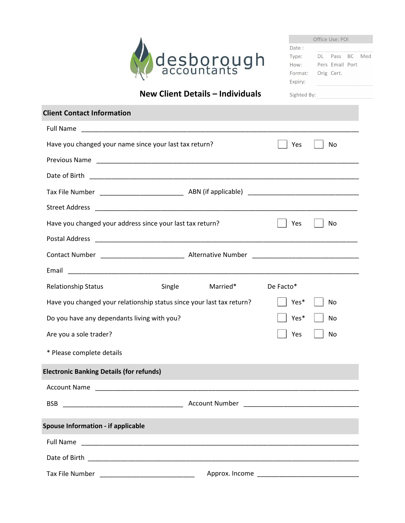

| Office Use: POI |  |                 |  |     |  |  |
|-----------------|--|-----------------|--|-----|--|--|
| Date:           |  |                 |  |     |  |  |
| Type:           |  | DI Pass BC      |  | Med |  |  |
| How:            |  | Pers Email Port |  |     |  |  |
| Format:         |  | Orig Cert.      |  |     |  |  |
| Expiry:         |  |                 |  |     |  |  |

## New Client Details – Individuals

Sighted By:

| <b>Client Contact Information</b>                                     |                       |           |    |
|-----------------------------------------------------------------------|-----------------------|-----------|----|
| Full Name                                                             |                       |           |    |
| Have you changed your name since your last tax return?                | Yes                   | No        |    |
|                                                                       |                       |           |    |
|                                                                       |                       |           |    |
|                                                                       |                       |           |    |
| <b>Street Address</b>                                                 |                       |           |    |
| Have you changed your address since your last tax return?             |                       | Yes       | No |
| <b>Postal Address</b>                                                 |                       |           |    |
|                                                                       |                       |           |    |
| Email                                                                 |                       |           |    |
| <b>Relationship Status</b>                                            | Married*<br>Single    | De Facto* |    |
| Have you changed your relationship status since your last tax return? |                       | Yes*      | No |
| Do you have any dependants living with you?                           |                       | Yes*      | No |
| Are you a sole trader?                                                |                       | Yes       | No |
| * Please complete details                                             |                       |           |    |
| <b>Electronic Banking Details (for refunds)</b>                       |                       |           |    |
| <b>Account Name</b>                                                   |                       |           |    |
| <b>BSB</b>                                                            | <b>Account Number</b> |           |    |
| <b>Spouse Information - if applicable</b>                             |                       |           |    |
| <b>Full Name</b>                                                      |                       |           |    |
|                                                                       |                       |           |    |
|                                                                       |                       |           |    |